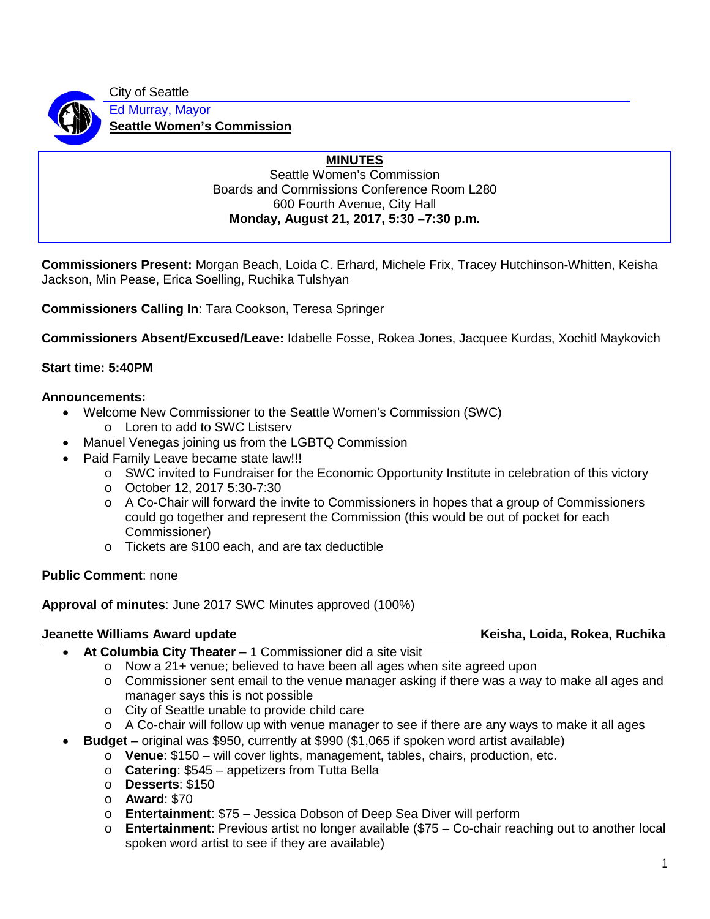City of Seattle Ed Murray, Mayor **Seattle Women's Commission**

## **MINUTES**

Seattle Women's Commission Boards and Commissions Conference Room L280 600 Fourth Avenue, City Hall **Monday, August 21, 2017, 5:30 –7:30 p.m.**

**Commissioners Present:** Morgan Beach, Loida C. Erhard, Michele Frix, Tracey Hutchinson-Whitten, Keisha Jackson, Min Pease, Erica Soelling, Ruchika Tulshyan

**Commissioners Calling In**: Tara Cookson, Teresa Springer

**Commissioners Absent/Excused/Leave:** Idabelle Fosse, Rokea Jones, Jacquee Kurdas, Xochitl Maykovich

## **Start time: 5:40PM**

#### **Announcements:**

- Welcome New Commissioner to the Seattle Women's Commission (SWC)
	- o Loren to add to SWC Listserv
- Manuel Venegas joining us from the LGBTQ Commission
- Paid Family Leave became state law!!!
	- o SWC invited to Fundraiser for the Economic Opportunity Institute in celebration of this victory
	- o October 12, 2017 5:30-7:30
	- o A Co-Chair will forward the invite to Commissioners in hopes that a group of Commissioners could go together and represent the Commission (this would be out of pocket for each Commissioner)
	- o Tickets are \$100 each, and are tax deductible

### **Public Comment**: none

**Approval of minutes**: June 2017 SWC Minutes approved (100%)

### **Jeanette Williams Award update Keisha, Loida, Rokea, Ruchika**

- **At Columbia City Theater** 1 Commissioner did a site visit
	- o Now a 21+ venue; believed to have been all ages when site agreed upon
	- $\circ$  Commissioner sent email to the venue manager asking if there was a way to make all ages and manager says this is not possible
	- o City of Seattle unable to provide child care
	- $\circ$  A Co-chair will follow up with venue manager to see if there are any ways to make it all ages
- **Budget** original was \$950, currently at \$990 (\$1,065 if spoken word artist available)
	- o **Venue**: \$150 will cover lights, management, tables, chairs, production, etc.
	- o **Catering**: \$545 appetizers from Tutta Bella
	- o **Desserts**: \$150
	- o **Award**: \$70
	- o **Entertainment**: \$75 Jessica Dobson of Deep Sea Diver will perform
	- o **Entertainment**: Previous artist no longer available (\$75 Co-chair reaching out to another local spoken word artist to see if they are available)

1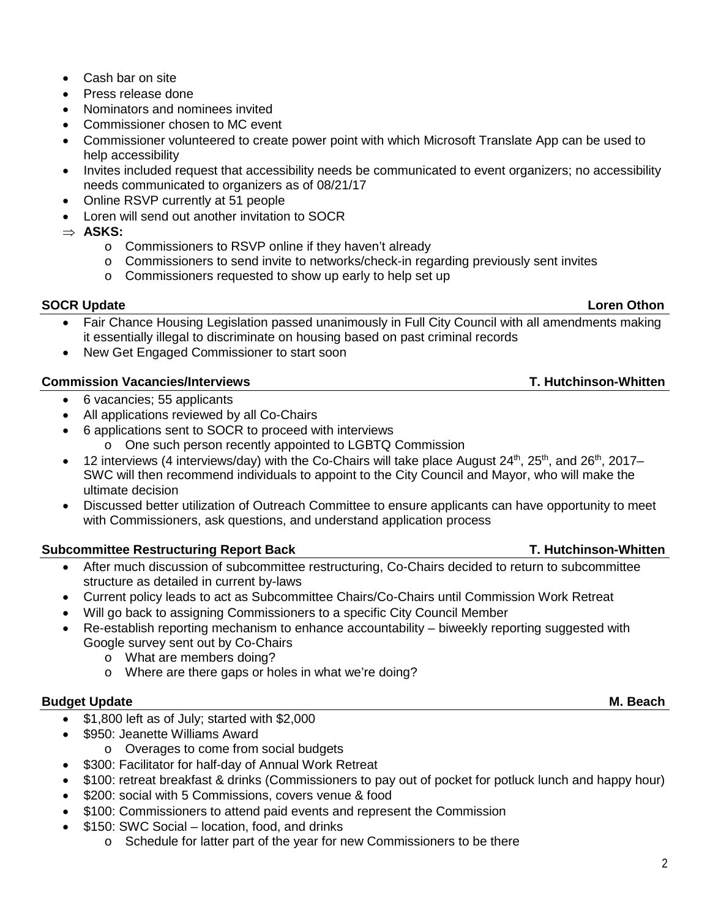- 
- o Commissioners to RSVP online if they haven't already

needs communicated to organizers as of 08/21/17

Loren will send out another invitation to SOCR

o Commissioners to send invite to networks/check-in regarding previously sent invites

• Commissioner volunteered to create power point with which Microsoft Translate App can be used to

• Invites included request that accessibility needs be communicated to event organizers; no accessibility

o Commissioners requested to show up early to help set up

### **SOCR Update** Loren Othon **Loren Othon**

⇒ **ASKS:** 

- 
- Fair Chance Housing Legislation passed unanimously in Full City Council with all amendments making it essentially illegal to discriminate on housing based on past criminal records
- New Get Engaged Commissioner to start soon

#### **Commission Vacancies/Interviews T. Hutchinson-Whitten**

Cash bar on site • Press release done

help accessibility

• Nominators and nominees invited • Commissioner chosen to MC event

• Online RSVP currently at 51 people

- 6 vacancies; 55 applicants
- All applications reviewed by all Co-Chairs
- 6 applications sent to SOCR to proceed with interviews
	- o One such person recently appointed to LGBTQ Commission
- 12 interviews (4 interviews/day) with the Co-Chairs will take place August  $24<sup>th</sup>$ ,  $25<sup>th</sup>$ , and  $26<sup>th</sup>$ ,  $2017-$ SWC will then recommend individuals to appoint to the City Council and Mayor, who will make the ultimate decision
- Discussed better utilization of Outreach Committee to ensure applicants can have opportunity to meet with Commissioners, ask questions, and understand application process

### **Subcommittee Restructuring Report Back T. Hutchinson-Whitten**

- After much discussion of subcommittee restructuring, Co-Chairs decided to return to subcommittee structure as detailed in current by-laws
- Current policy leads to act as Subcommittee Chairs/Co-Chairs until Commission Work Retreat
- Will go back to assigning Commissioners to a specific City Council Member
- Re-establish reporting mechanism to enhance accountability biweekly reporting suggested with Google survey sent out by Co-Chairs
	- o What are members doing?
	- o Where are there gaps or holes in what we're doing?

#### **Budget Update M. Beach** M. Beach

- \$1,800 left as of July; started with \$2,000
- \$950: Jeanette Williams Award
	- o Overages to come from social budgets
- \$300: Facilitator for half-day of Annual Work Retreat
- \$100: retreat breakfast & drinks (Commissioners to pay out of pocket for potluck lunch and happy hour)
- \$200: social with 5 Commissions, covers venue & food
- \$100: Commissioners to attend paid events and represent the Commission
- \$150: SWC Social location, food, and drinks
	- o Schedule for latter part of the year for new Commissioners to be there

## 2